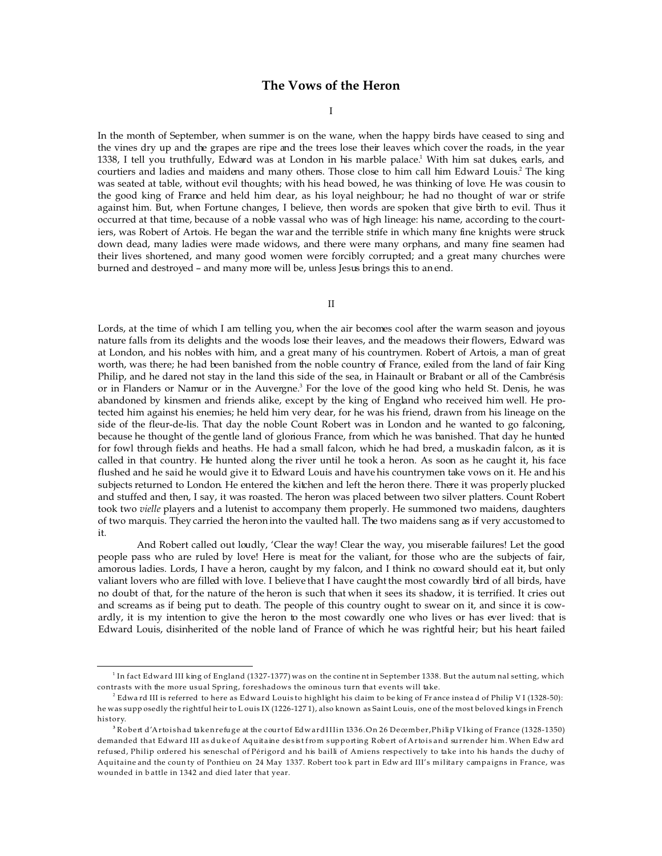# **The Vows of the Heron**

I

In the month of September, when summer is on the wane, when the happy birds have ceased to sing and the vines dry up and the grapes are ripe and the trees lose their leaves which cover the roads, in the year 1338, I tell you truthfully, Edward was at London in his marble palace.<sup>1</sup> With him sat dukes, earls, and courtiers and ladies and maidens and many others. Those close to him call him Edward Louis.<sup>2</sup> The king was seated at table, without evil thoughts; with his head bowed, he was thinking of love. He was cousin to the good king of France and held him dear, as his loyal neighbour; he had no thought of war or strife against him. But, when Fortune changes, I believe, then words are spoken that give birth to evil. Thus it occurred at that time, because of a noble vassal who was of high lineage: his name, according to the courtiers, was Robert of Artois. He began the war and the terrible strife in which many fine knights were struck down dead, many ladies were made widows, and there were many orphans, and many fine seamen had their lives shortened, and many good women were forcibly corrupted; and a great many churches were burned and destroyed – and many more will be, unless Jesus brings this to an end.

### II

Lords, at the time of which I am telling you, when the air becomes cool after the warm season and joyous nature falls from its delights and the woods lose their leaves, and the meadows their flowers, Edward was at London, and his nobles with him, and a great many of his countrymen. Robert of Artois, a man of great worth, was there; he had been banished from the noble country of France, exiled from the land of fair King Philip, and he dared not stay in the land this side of the sea, in Hainault or Brabant or all of the Cambrésis or in Flanders or Namur or in the Auvergne.<sup>3</sup> For the love of the good king who held St. Denis, he was abandoned by kinsmen and friends alike, except by the king of England who received him well. He protected him against his enemies; he held him very dear, for he was his friend, drawn from his lineage on the side of the fleur-de-lis. That day the noble Count Robert was in London and he wanted to go falconing, because he thought of the gentle land of glorious France, from which he was banished. That day he hunted for fowl through fields and heaths. He had a small falcon, which he had bred, a muskadin falcon, as it is called in that country. He hunted along the river until he took a heron. As soon as he caught it, his face flushed and he said he would give it to Edward Louis and have his countrymen take vows on it. He and his subjects returned to London. He entered the kitchen and left the heron there. There it was properly plucked and stuffed and then, I say, it was roasted. The heron was placed between two silver platters. Count Robert took two *vielle* players and a lutenist to accompany them properly. He summoned two maidens, daughters of two marquis. They carried the heron into the vaulted hall. The two maidens sang as if very accustomed to it.

And Robert called out loudly, 'Clear the way! Clear the way, you miserable failures! Let the good people pass who are ruled by love! Here is meat for the valiant, for those who are the subjects of fair, amorous ladies. Lords, I have a heron, caught by my falcon, and I think no coward should eat it, but only valiant lovers who are filled with love. I believe that I have caught the most cowardly bird of all birds, have no doubt of that, for the nature of the heron is such that when it sees its shadow, it is terrified. It cries out and screams as if being put to death. The people of this country ought to swear on it, and since it is cowardly, it is my intention to give the heron to the most cowardly one who lives or has ever lived: that is Edward Louis, disinherited of the noble land of France of which he was rightful heir; but his heart failed

 $^{\rm 1}$  In fact Edward III king of England (1327-1377) was on the contine nt in September 1338. But the autum nal setting, which contrasts with the more usual Spring, foreshadows the ominous turn that events will take.

 $^2$  Edwa rd III is referred to here as Edward Louisto highlight his claim to be king of Fr ance instea d of Philip V I (1328-50): he was supp osedly the rightful heir to L ouis IX (1226-127 1), also known as Saint Louis, one of the most beloved kings in French history.

<sup>&</sup>lt;sup>3</sup> Robert d'Artoishad taken refuge at the court of Edward III in 1336.On 26 December,Philip VI king of France (1328-1350) demanded that Edward III as duke of Aquitaine desist from supporting Robert of Artois and surrender him. When Edw ard refused, Philip ordered his seneschal of Périgord and his bailli of Amiens respectively to take into his hands the duchy of Aquitaine and the coun ty of Ponthieu on 24 May 1337. Robert too k part in Edw ard III's military campaigns in France, was wounded in b attle in 1342 and died later that year.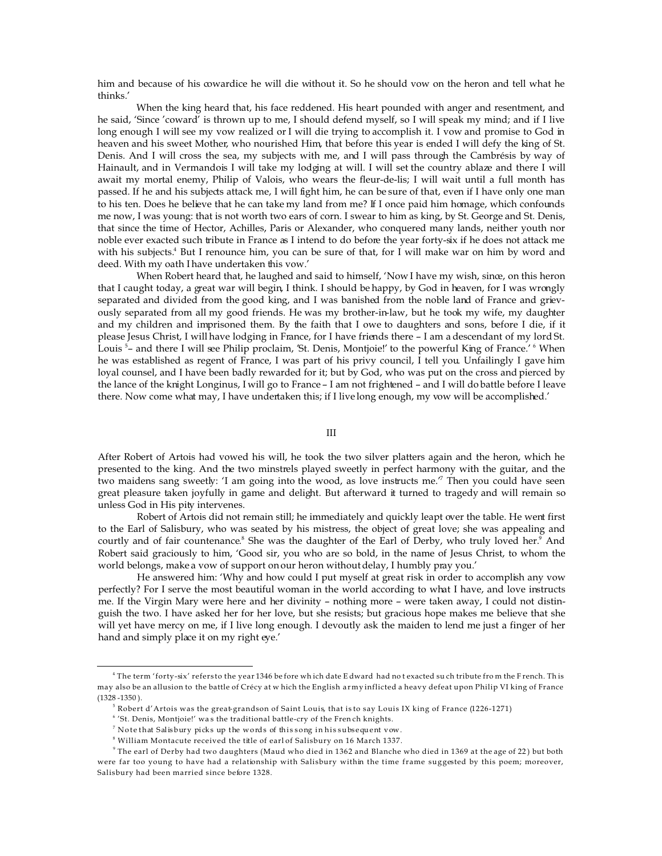him and because of his cowardice he will die without it. So he should vow on the heron and tell what he thinks.'

When the king heard that, his face reddened. His heart pounded with anger and resentment, and he said, 'Since 'coward' is thrown up to me, I should defend myself, so I will speak my mind; and if I live long enough I will see my vow realized or I will die trying to accomplish it. I vow and promise to God in heaven and his sweet Mother, who nourished Him, that before this year is ended I will defy the king of St. Denis. And I will cross the sea, my subjects with me, and I will pass through the Cambrésis by way of Hainault, and in Vermandois I will take my lodging at will. I will set the country ablaze and there I will await my mortal enemy, Philip of Valois, who wears the fleur-de-lis; I will wait until a full month has passed. If he and his subjects attack me, I will fight him, he can be sure of that, even if I have only one man to his ten. Does he believe that he can take my land from me? If I once paid him homage, which confounds me now, I was young: that is not worth two ears of corn. I swear to him as king, by St. George and St. Denis, that since the time of Hector, Achilles, Paris or Alexander, who conquered many lands, neither youth nor noble ever exacted such tribute in France as I intend to do before the year forty-six if he does not attack me with his subjects.<sup>4</sup> But I renounce him, you can be sure of that, for I will make war on him by word and deed. With my oath I have undertaken this vow.'

When Robert heard that, he laughed and said to himself, 'Now I have my wish, since, on this heron that I caught today, a great war will begin, I think. I should be happy, by God in heaven, for I was wrongly separated and divided from the good king, and I was banished from the noble land of France and grievously separated from all my good friends. He was my brother-in-law, but he took my wife, my daughter and my children and imprisoned them. By the faith that I owe to daughters and sons, before I die, if it please Jesus Christ, I will have lodging in France, for I have friends there – I am a descendant of my lord St. Louis <sup>5</sup>- and there I will see Philip proclaim, 'St. Denis, Montjoie!' to the powerful King of France.' <sup>6</sup> When he was established as regent of France, I was part of his privy council, I tell you. Unfailingly I gave him loyal counsel, and I have been badly rewarded for it; but by God, who was put on the cross and pierced by the lance of the knight Longinus, I will go to France – I am not frightened – and I will do battle before I leave there. Now come what may, I have undertaken this; if I live long enough, my vow will be accomplished.'

### III

After Robert of Artois had vowed his will, he took the two silver platters again and the heron, which he presented to the king. And the two minstrels played sweetly in perfect harmony with the guitar, and the two maidens sang sweetly: 'I am going into the wood, as love instructs me.'<sup>7</sup> Then you could have seen great pleasure taken joyfully in game and delight. But afterward it turned to tragedy and will remain so unless God in His pity intervenes.

Robert of Artois did not remain still; he immediately and quickly leapt over the table. He went first to the Earl of Salisbury, who was seated by his mistress, the object of great love; she was appealing and courtly and of fair countenance.<sup>8</sup> She was the daughter of the Earl of Derby, who truly loved her.<sup>9</sup> And Robert said graciously to him, 'Good sir, you who are so bold, in the name of Jesus Christ, to whom the world belongs, make a vow of support on our heron without delay, I humbly pray you.'

He answered him: 'Why and how could I put myself at great risk in order to accomplish any vow perfectly? For I serve the most beautiful woman in the world according to what I have, and love instructs me. If the Virgin Mary were here and her divinity – nothing more – were taken away, I could not distinguish the two. I have asked her for her love, but she resists; but gracious hope makes me believe that she will yet have mercy on me, if I live long enough. I devoutly ask the maiden to lend me just a finger of her hand and simply place it on my right eye.'

<sup>4</sup> The term 'forty-six' refers to the year 1346 be fore wh ich date E dward had no t exacted su ch tribute fro m the F rench. Th is may also be an allusion to the battle of Crécy at w hich the English army inflicted a heavy defeat upon Philip VI king of France  $(1328 - 1350)$ .

 $^{\rm 5}$  Robert d'Artois was the great-grandson of Saint Louis, that is to say Louis IX king of France (1226-1271)

<sup>&</sup>lt;sup>6</sup> 'St. Denis, Montjoie!' was the traditional battle-cry of the Fren ch knights.

 $^7$  Note that Salisbury picks up the words of thissong in hissubsequent vow.

 $^{\rm 8}$  William Montacute received the title of earl of Salisbury on 16 March 1337.

 $^{\circ}$  The earl of Derby had two daughters (Maud who died in 1362 and Blanche who died in 1369 at the age of 22) but both were far too young to have had a relationship with Salisbury within the time frame suggested by this poem; moreover, Salisbury had been married since before 1328.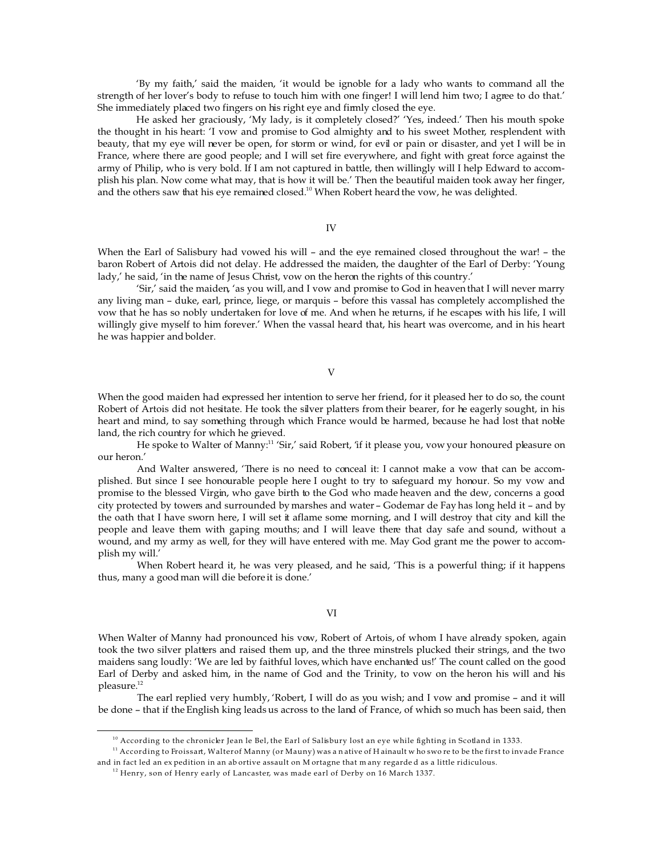'By my faith,' said the maiden, 'it would be ignoble for a lady who wants to command all the strength of her lover's body to refuse to touch him with one finger! I will lend him two; I agree to do that.' She immediately placed two fingers on his right eye and firmly closed the eye.

He asked her graciously, 'My lady, is it completely closed?' 'Yes, indeed.' Then his mouth spoke the thought in his heart: 'I vow and promise to God almighty and to his sweet Mother, resplendent with beauty, that my eye will never be open, for storm or wind, for evil or pain or disaster, and yet I will be in France, where there are good people; and I will set fire everywhere, and fight with great force against the army of Philip, who is very bold. If I am not captured in battle, then willingly will I help Edward to accomplish his plan. Now come what may, that is how it will be.' Then the beautiful maiden took away her finger, and the others saw that his eye remained closed.<sup>10</sup> When Robert heard the vow, he was delighted.

IV

When the Earl of Salisbury had vowed his will – and the eye remained closed throughout the war! – the baron Robert of Artois did not delay. He addressed the maiden, the daughter of the Earl of Derby: 'Young lady,' he said, 'in the name of Jesus Christ, vow on the heron the rights of this country.'

'Sir,' said the maiden, 'as you will, and I vow and promise to God in heaven that I will never marry any living man – duke, earl, prince, liege, or marquis – before this vassal has completely accomplished the vow that he has so nobly undertaken for love of me. And when he returns, if he escapes with his life, I will willingly give myself to him forever.' When the vassal heard that, his heart was overcome, and in his heart he was happier and bolder.

### V

When the good maiden had expressed her intention to serve her friend, for it pleased her to do so, the count Robert of Artois did not hesitate. He took the silver platters from their bearer, for he eagerly sought, in his heart and mind, to say something through which France would be harmed, because he had lost that noble land, the rich country for which he grieved.

He spoke to Walter of Manny:<sup>11</sup> 'Sir,' said Robert, 'if it please you, vow your honoured pleasure on our heron.'

And Walter answered, 'There is no need to conceal it: I cannot make a vow that can be accomplished. But since I see honourable people here I ought to try to safeguard my honour. So my vow and promise to the blessed Virgin, who gave birth to the God who made heaven and the dew, concerns a good city protected by towers and surrounded by marshes and water – Godemar de Fay has long held it – and by the oath that I have sworn here, I will set it aflame some morning, and I will destroy that city and kill the people and leave them with gaping mouths; and I will leave there that day safe and sound, without a wound, and my army as well, for they will have entered with me. May God grant me the power to accomplish my will.'

When Robert heard it, he was very pleased, and he said, 'This is a powerful thing; if it happens thus, many a good man will die before it is done.'

# VI

When Walter of Manny had pronounced his vow, Robert of Artois, of whom I have already spoken, again took the two silver platters and raised them up, and the three minstrels plucked their strings, and the two maidens sang loudly: 'We are led by faithful loves, which have enchanted us!' The count called on the good Earl of Derby and asked him, in the name of God and the Trinity, to vow on the heron his will and his pleasure.<sup>12</sup>

The earl replied very humbly, 'Robert, I will do as you wish; and I vow and promise – and it will be done – that if the English king leads us across to the land of France, of which so much has been said, then

 $10$  According to the chronicler Jean le Bel, the Earl of Salisbury lost an eye while fighting in Scotland in 1333.

 $11$  According to Froissart, Walter of Manny (or Mauny) was a native of Hainault w ho swo re to be the first to invade France and in fact led an ex pedition in an ab ortive assault on M ortagne that m any regarde d as a little ridiculous.

 $12$  Henry, son of Henry early of Lancaster, was made earl of Derby on 16 March 1337.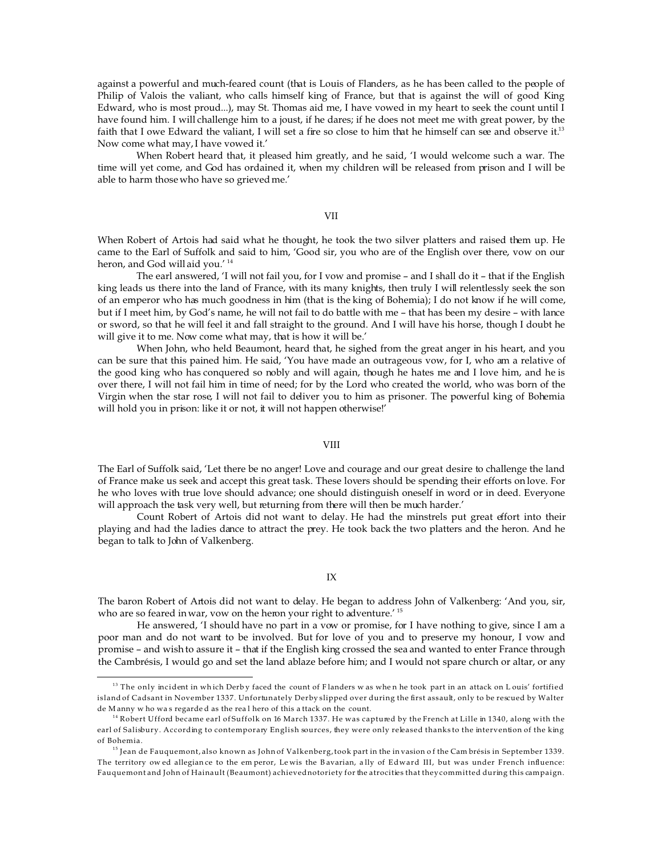against a powerful and much-feared count (that is Louis of Flanders, as he has been called to the people of Philip of Valois the valiant, who calls himself king of France, but that is against the will of good King Edward, who is most proud...), may St. Thomas aid me, I have vowed in my heart to seek the count until I have found him. I will challenge him to a joust, if he dares; if he does not meet me with great power, by the faith that I owe Edward the valiant, I will set a fire so close to him that he himself can see and observe it.<sup>13</sup> Now come what may, I have vowed it.'

When Robert heard that, it pleased him greatly, and he said, 'I would welcome such a war. The time will yet come, and God has ordained it, when my children will be released from prison and I will be able to harm those who have so grieved me.'

# VII

When Robert of Artois had said what he thought, he took the two silver platters and raised them up. He came to the Earl of Suffolk and said to him, 'Good sir, you who are of the English over there, vow on our heron, and God will aid you.<sup>' 14</sup>

The earl answered, 'I will not fail you, for I vow and promise – and I shall do it – that if the English king leads us there into the land of France, with its many knights, then truly I will relentlessly seek the son of an emperor who has much goodness in him (that is the king of Bohemia); I do not know if he will come, but if I meet him, by God's name, he will not fail to do battle with me – that has been my desire – with lance or sword, so that he will feel it and fall straight to the ground. And I will have his horse, though I doubt he will give it to me. Now come what may, that is how it will be.'

When John, who held Beaumont, heard that, he sighed from the great anger in his heart, and you can be sure that this pained him. He said, 'You have made an outrageous vow, for I, who am a relative of the good king who has conquered so nobly and will again, though he hates me and I love him, and he is over there, I will not fail him in time of need; for by the Lord who created the world, who was born of the Virgin when the star rose, I will not fail to deliver you to him as prisoner. The powerful king of Bohemia will hold you in prison: like it or not, it will not happen otherwise!'

## VIII

The Earl of Suffolk said, 'Let there be no anger! Love and courage and our great desire to challenge the land of France make us seek and accept this great task. These lovers should be spending their efforts on love. For he who loves with true love should advance; one should distinguish oneself in word or in deed. Everyone will approach the task very well, but returning from there will then be much harder.'

Count Robert of Artois did not want to delay. He had the minstrels put great effort into their playing and had the ladies dance to attract the prey. He took back the two platters and the heron. And he began to talk to John of Valkenberg.

# IX

The baron Robert of Artois did not want to delay. He began to address John of Valkenberg: 'And you, sir, who are so feared in war, vow on the heron your right to adventure.<sup>'15</sup>

He answered, 'I should have no part in a vow or promise, for I have nothing to give, since I am a poor man and do not want to be involved. But for love of you and to preserve my honour, I vow and promise – and wish to assure it – that if the English king crossed the sea and wanted to enter France through the Cambrésis, I would go and set the land ablaze before him; and I would not spare church or altar, or any

 $13$  The only incident in which Derby faced the count of Flanders w as when he took part in an attack on Louis' fortified island of Cadsant in November 1337. Unfortunately Derby slipped over during the first assault, only to be rescued by Walter de M anny w ho wa s regarde d as the rea l hero of this a ttack on the count.

<sup>&</sup>lt;sup>14</sup> Robert Ufford became earl of Suffolk on 16 March 1337. He was captured by the French at Lille in 1340, along with the earl of Salisbury. According to contemporary English sources, they were only released thanks to the intervention of the king of Bohemia.

<sup>&</sup>lt;sup>15</sup> Jean de Fauquemont, also known as John of Valkenberg, took part in the in vasion of the Cam brésis in September 1339. The territory ow ed allegian ce to the em peror, Le wis the B avarian, a lly of Edward III, but was under French influence: Fauquemont and John of Hainault (Beaumont) achieved notoriety for the atrocities that they committed during this campaign.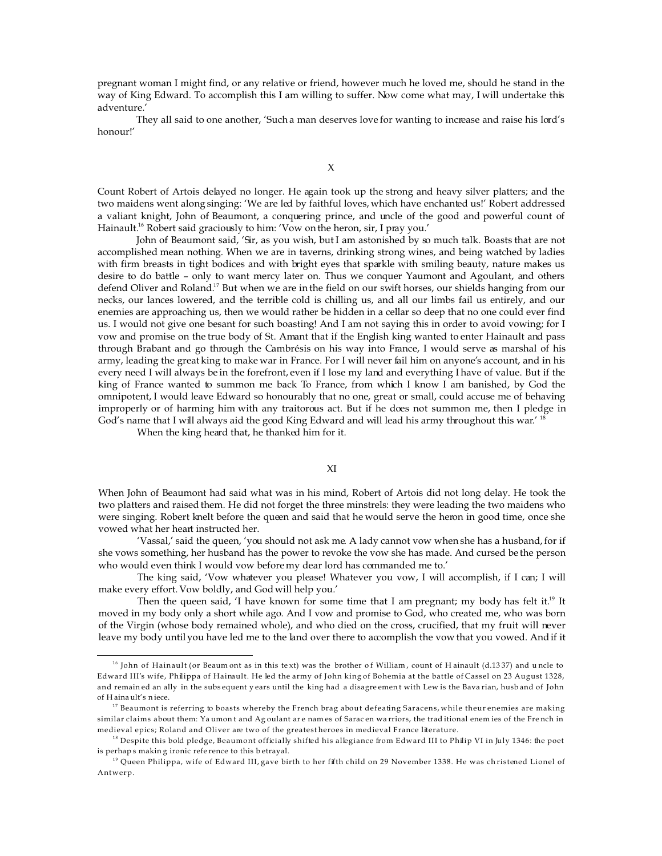pregnant woman I might find, or any relative or friend, however much he loved me, should he stand in the way of King Edward. To accomplish this I am willing to suffer. Now come what may, I will undertake this adventure.'

They all said to one another, 'Such a man deserves love for wanting to increase and raise his lord's honour!'

X

Count Robert of Artois delayed no longer. He again took up the strong and heavy silver platters; and the two maidens went along singing: 'We are led by faithful loves, which have enchanted us!' Robert addressed a valiant knight, John of Beaumont, a conquering prince, and uncle of the good and powerful count of Hainault.<sup>16</sup> Robert said graciously to him: 'Vow on the heron, sir, I pray you.'

John of Beaumont said, 'Sir, as you wish, but I am astonished by so much talk. Boasts that are not accomplished mean nothing. When we are in taverns, drinking strong wines, and being watched by ladies with firm breasts in tight bodices and with bright eyes that sparkle with smiling beauty, nature makes us desire to do battle – only to want mercy later on. Thus we conquer Yaumont and Agoulant, and others defend Oliver and Roland.<sup>17</sup> But when we are in the field on our swift horses, our shields hanging from our necks, our lances lowered, and the terrible cold is chilling us, and all our limbs fail us entirely, and our enemies are approaching us, then we would rather be hidden in a cellar so deep that no one could ever find us. I would not give one besant for such boasting! And I am not saying this in order to avoid vowing; for I vow and promise on the true body of St. Amant that if the English king wanted to enter Hainault and pass through Brabant and go through the Cambrésis on his way into France, I would serve as marshal of his army, leading the great king to make war in France. For I will never fail him on anyone's account, and in his every need I will always be in the forefront, even if I lose my land and everything I have of value. But if the king of France wanted to summon me back To France, from which I know I am banished, by God the omnipotent, I would leave Edward so honourably that no one, great or small, could accuse me of behaving improperly or of harming him with any traitorous act. But if he does not summon me, then I pledge in God's name that I will always aid the good King Edward and will lead his army throughout this war.<sup>' 18</sup>

When the king heard that, he thanked him for it.

## XI

When John of Beaumont had said what was in his mind, Robert of Artois did not long delay. He took the two platters and raised them. He did not forget the three minstrels: they were leading the two maidens who were singing. Robert knelt before the queen and said that he would serve the heron in good time, once she vowed what her heart instructed her.

'Vassal,' said the queen, 'you should not ask me. A lady cannot vow when she has a husband, for if she vows something, her husband has the power to revoke the vow she has made. And cursed be the person who would even think I would vow before my dear lord has commanded me to.'

The king said, 'Vow whatever you please! Whatever you vow, I will accomplish, if I can; I will make every effort. Vow boldly, and God will help you.'

Then the queen said, 'I have known for some time that I am pregnant; my body has felt it.<sup>19</sup> It moved in my body only a short while ago. And I vow and promise to God, who created me, who was born of the Virgin (whose body remained whole), and who died on the cross, crucified, that my fruit will never leave my body until you have led me to the land over there to accomplish the vow that you vowed. And if it

<sup>&</sup>lt;sup>16</sup> John of Hainault (or Beaum ont as in this text) was the brother of William, count of Hainault (d.1337) and uncle to Edward III's wife, Philippa of Hainault. He led the army of John king of Bohemia at the battle of Cassel on 23 August 1328, and remain ed an ally in the subs equent y ears until the king had a disagre emen t with Lew is the Bava rian, husb and of John of H aina ult's n iece.

 $^{17}$  Beaumont is referring to boasts whereby the French brag about defeating Saracens, while theur enemies are making similar claims about them: Ya umon t and Ag oulant are names of Saracen warriors, the traditional enemies of the French in medieval epics; Roland and Oliver are two of the greatest heroes in medieval France literature.

<sup>&</sup>lt;sup>18</sup> Despite this bold pledge, Beaumont officially shifted his allegiance from Edward III to Philip VI in July 1346: the poet is perhap s makin g ironic refe rence to this b etrayal.

<sup>&</sup>lt;sup>19</sup> Queen Philippa, wife of Edward III, gave birth to her fifth child on 29 November 1338. He was christened Lionel of Antwerp.